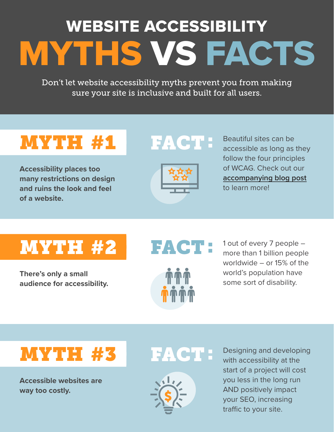# MYTHS VS FACTS WEBSITE ACCESSIBILITY

Don't let website accessibility myths prevent you from making sure your site is inclusive and built for all users.

# MYTH #1

**Accessibility places too many restrictions on design and ruins the look and feel of a website.**





Beautiful sites can be accessible as long as they follow the four principles of WCAG. Check out our **[accompanying blog post](http://sangereby.com/blog/website-accessibility-myth-buster/)** to learn more!

# MYTH #2

**There's only a small audience for accessibility.**

### FACT



1 out of every 7 people – more than 1 billion people worldwide – or 15% of the world's population have some sort of disability.

### MYTH #3

**Accessible websites are way too costly.**





Designing and developing with accessibility at the start of a project will cost you less in the long run AND positively impact your SEO, increasing traffic to your site.